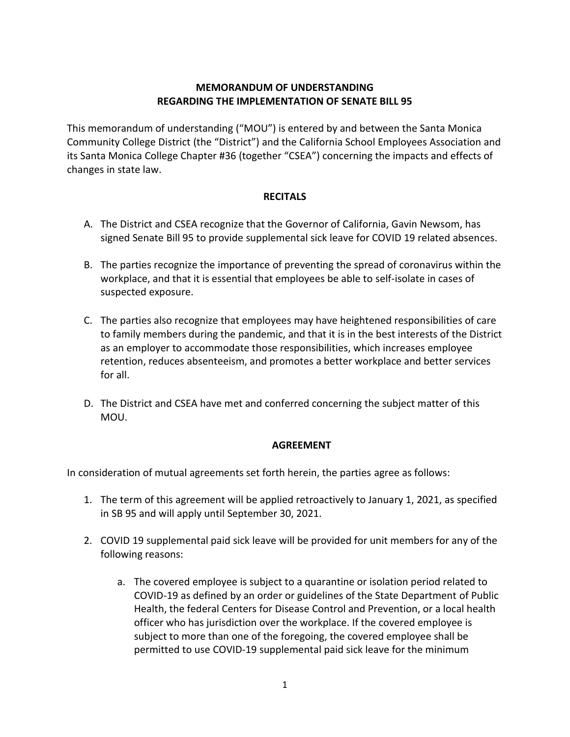## **MEMORANDUM OF UNDERSTANDING REGARDING THE IMPLEMENTATION OF SENATE BILL 95**

This memorandum of understanding ("MOU") is entered by and between the Santa Monica Community College District (the "District") and the California School Employees Association and its Santa Monica College Chapter #36 (together "CSEA") concerning the impacts and effects of changes in state law.

## **RECITALS**

- A. The District and CSEA recognize that the Governor of California, Gavin Newsom, has signed Senate Bill 95 to provide supplemental sick leave for COVID 19 related absences.
- B. The parties recognize the importance of preventing the spread of coronavirus within the workplace, and that it is essential that employees be able to self-isolate in cases of suspected exposure.
- C. The parties also recognize that employees may have heightened responsibilities of care to family members during the pandemic, and that it is in the best interests of the District as an employer to accommodate those responsibilities, which increases employee retention, reduces absenteeism, and promotes a better workplace and better services for all.
- D. The District and CSEA have met and conferred concerning the subject matter of this MOU.

## **AGREEMENT**

In consideration of mutual agreements set forth herein, the parties agree as follows:

- 1. The term of this agreement will be applied retroactively to January 1, 2021, as specified in SB 95 and will apply until September 30, 2021.
- 2. COVID 19 supplemental paid sick leave will be provided for unit members for any of the following reasons:
	- a. The covered employee is subject to a quarantine or isolation period related to COVID-19 as defined by an order or guidelines of the State Department of Public Health, the federal Centers for Disease Control and Prevention, or a local health officer who has jurisdiction over the workplace. If the covered employee is subject to more than one of the foregoing, the covered employee shall be permitted to use COVID-19 supplemental paid sick leave for the minimum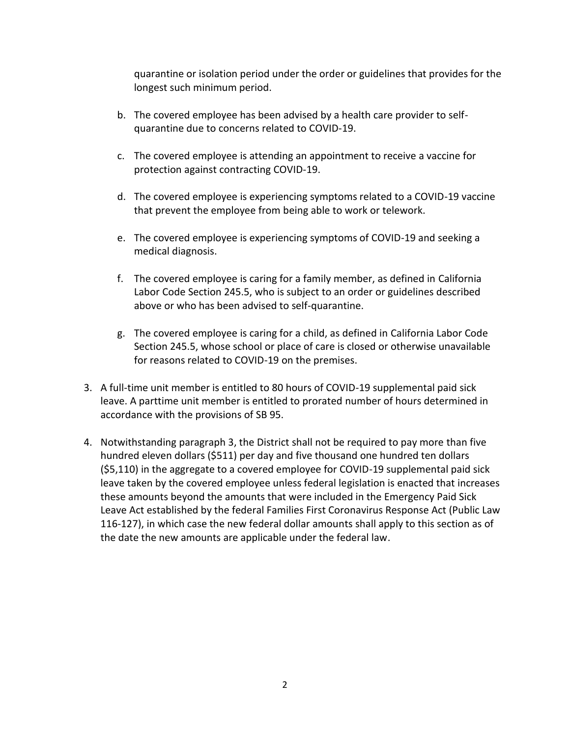quarantine or isolation period under the order or guidelines that provides for the longest such minimum period.

- b. The covered employee has been advised by a health care provider to selfquarantine due to concerns related to COVID-19.
- c. The covered employee is attending an appointment to receive a vaccine for protection against contracting COVID-19.
- d. The covered employee is experiencing symptoms related to a COVID-19 vaccine that prevent the employee from being able to work or telework.
- e. The covered employee is experiencing symptoms of COVID-19 and seeking a medical diagnosis.
- f. The covered employee is caring for a family member, as defined in California Labor Code Section 245.5, who is subject to an order or guidelines described above or who has been advised to self-quarantine.
- g. The covered employee is caring for a child, as defined in California Labor Code Section 245.5, whose school or place of care is closed or otherwise unavailable for reasons related to COVID-19 on the premises.
- 3. A full-time unit member is entitled to 80 hours of COVID-19 supplemental paid sick leave. A parttime unit member is entitled to prorated number of hours determined in accordance with the provisions of SB 95.
- 4. Notwithstanding paragraph 3, the District shall not be required to pay more than five hundred eleven dollars (\$511) per day and five thousand one hundred ten dollars (\$5,110) in the aggregate to a covered employee for COVID-19 supplemental paid sick leave taken by the covered employee unless federal legislation is enacted that increases these amounts beyond the amounts that were included in the Emergency Paid Sick Leave Act established by the federal Families First Coronavirus Response Act (Public Law 116-127), in which case the new federal dollar amounts shall apply to this section as of the date the new amounts are applicable under the federal law.